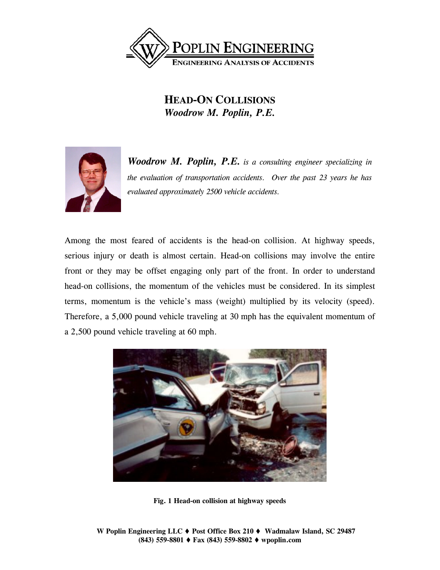

## **HEAD-ON COLLISIONS** *Woodrow M. Poplin, P.E.*



*Woodrow M. Poplin, P.E. is a consulting engineer specializing in the evaluation of transportation accidents. Over the past 23 years he has evaluated approximately 2500 vehicle accidents.* 

Among the most feared of accidents is the head-on collision. At highway speeds, serious injury or death is almost certain. Head-on collisions may involve the entire front or they may be offset engaging only part of the front. In order to understand head-on collisions, the momentum of the vehicles must be considered. In its simplest terms, momentum is the vehicle's mass (weight) multiplied by its velocity (speed). Therefore, a 5,000 pound vehicle traveling at 30 mph has the equivalent momentum of a 2,500 pound vehicle traveling at 60 mph.



**Fig. 1 Head-on collision at highway speeds**

**W Poplin Engineering LLC ♦ Post Office Box 210 ♦ Wadmalaw Island, SC 29487 (843) 559-8801 Fax (843) 559-8802 wpoplin.com**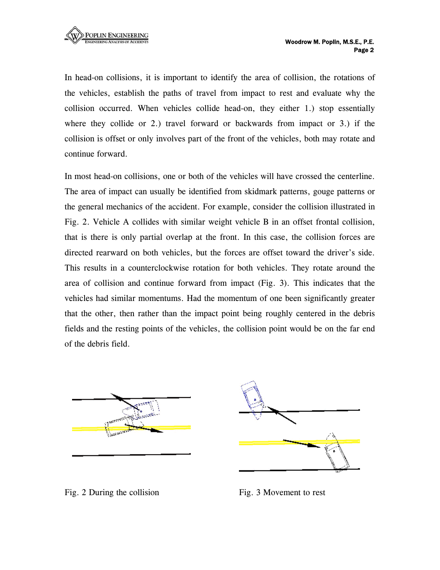In head-on collisions, it is important to identify the area of collision, the rotations of the vehicles, establish the paths of travel from impact to rest and evaluate why the collision occurred. When vehicles collide head-on, they either 1.) stop essentially where they collide or 2.) travel forward or backwards from impact or 3.) if the collision is offset or only involves part of the front of the vehicles, both may rotate and continue forward.

In most head-on collisions, one or both of the vehicles will have crossed the centerline. The area of impact can usually be identified from skidmark patterns, gouge patterns or the general mechanics of the accident. For example, consider the collision illustrated in Fig. 2. Vehicle A collides with similar weight vehicle B in an offset frontal collision, that is there is only partial overlap at the front. In this case, the collision forces are directed rearward on both vehicles, but the forces are offset toward the driver's side. This results in a counterclockwise rotation for both vehicles. They rotate around the area of collision and continue forward from impact (Fig. 3). This indicates that the vehicles had similar momentums. Had the momentum of one been significantly greater that the other, then rather than the impact point being roughly centered in the debris fields and the resting points of the vehicles, the collision point would be on the far end of the debris field.





Fig. 2 During the collision Fig. 3 Movement to rest